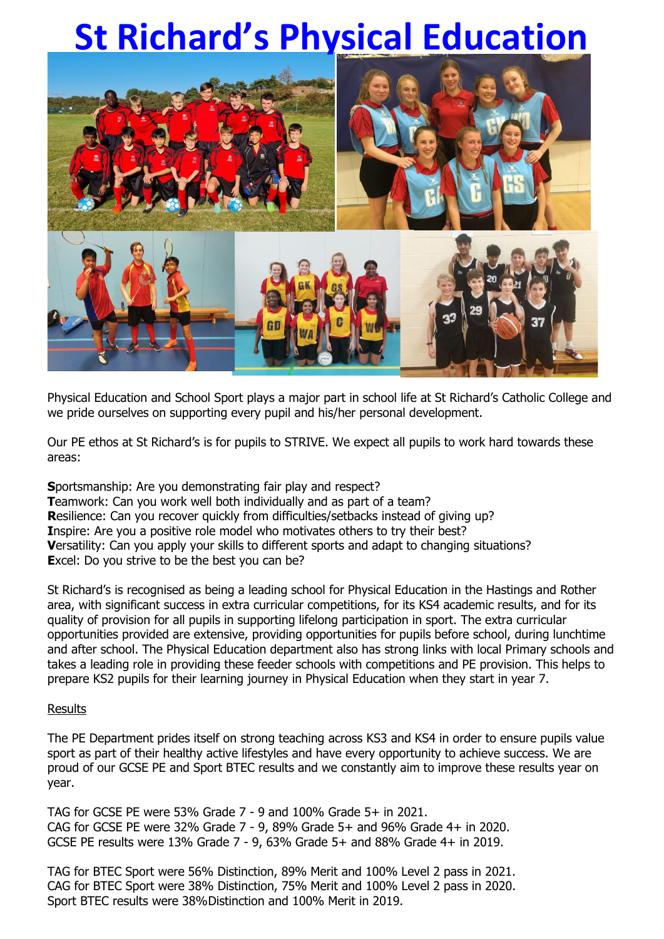## **St Richard's Physical Education**



Physical Education and School Sport plays a major part in school life at St Richard's Catholic College and we pride ourselves on supporting every pupil and his/her personal development.

Our PE ethos at St Richard's is for pupils to STRIVE. We expect all pupils to work hard towards these areas:

**S**portsmanship: Are you demonstrating fair play and respect? **Teamwork: Can you work well both individually and as part of a team? R**esilience: Can you recover quickly from difficulties/setbacks instead of giving up? **Inspire:** Are you a positive role model who motivates others to try their best? **V**ersatility: Can you apply your skills to different sports and adapt to changing situations? **Excel:** Do you strive to be the best you can be?

St Richard's is recognised as being a leading school for Physical Education in the Hastings and Rother area, with significant success in extra curricular competitions, for its KS4 academic results, and for its quality of provision for all pupils in supporting lifelong participation in sport. The extra curricular opportunities provided are extensive, providing opportunities for pupils before school, during lunchtime and after school. The Physical Education department also has strong links with local Primary schools and takes a leading role in providing these feeder schools with competitions and PE provision. This helps to prepare KS2 pupils for their learning journey in Physical Education when they start in year 7.

## **Results**

The PE Department prides itself on strong teaching across KS3 and KS4 in order to ensure pupils value sport as part of their healthy active lifestyles and have every opportunity to achieve success. We are proud of our GCSE PE and Sport BTEC results and we constantly aim to improve these results year on year.

TAG for GCSE PE were 53% Grade 7 - 9 and 100% Grade 5+ in 2021. CAG for GCSE PE were 32% Grade 7 - 9, 89% Grade 5+ and 96% Grade 4+ in 2020. GCSE PE results were 13% Grade 7 - 9, 63% Grade 5+ and 88% Grade 4+ in 2019.

TAG for BTEC Sport were 56% Distinction, 89% Merit and 100% Level 2 pass in 2021. CAG for BTEC Sport were 38% Distinction, 75% Merit and 100% Level 2 pass in 2020. Sport BTEC results were 38%Distinction and 100% Merit in 2019.